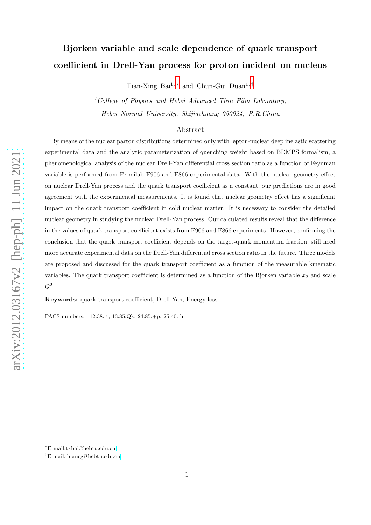# Bjorken variable and scale dependence of quark transport coefficient in Drell-Yan process for proton incident on nucleus

Tian-Xing Bai<sup>1,\*</sup> and Chun-Gui Duan<sup>1,[†](#page-0-1)</sup>

 $1^1$ College of Physics and Hebei Advanced Thin Film Laboratory, Hebei Normal University, Shijiazhuang 050024, P.R.China

## Abstract

By means of the nuclear parton distributions determined only with lepton-nuclear deep inelastic scattering experimental data and the analytic parameterization of quenching weight based on BDMPS formalism, a phenomenological analysis of the nuclear Drell-Yan differential cross section ratio as a function of Feynman variable is performed from Fermilab E906 and E866 experimental data. With the nuclear geometry effect on nuclear Drell-Yan process and the quark transport coefficient as a constant, our predictions are in good agreement with the experimental measurements. It is found that nuclear geometry effect has a significant impact on the quark transport coefficient in cold nuclear matter. It is necessary to consider the detailed nuclear geometry in studying the nuclear Drell-Yan process. Our calculated results reveal that the difference in the values of quark transport coefficient exists from E906 and E866 experiments. However, confirming the conclusion that the quark transport coefficient depends on the target-quark momentum fraction, still need more accurate experimental data on the Drell-Yan differential cross section ratio in the future. Three models are proposed and discussed for the quark transport coefficient as a function of the measurable kinematic variables. The quark transport coefficient is determined as a function of the Bjorken variable  $x_2$  and scale  $Q^2$ .

Keywords: quark transport coefficient, Drell-Yan, Energy loss

PACS numbers: 12.38.-t; 13.85.Qk; 24.85.+p; 25.40.-h

<span id="page-0-0"></span><sup>∗</sup>E-mail[:txbai@hebtu.edu.cn](mailto:txbai@hebtu.edu.cn)

<span id="page-0-1"></span><sup>†</sup>E-mail[:duancg@hebtu.edu.cn](mailto:duancg@hebtu.edu.cn)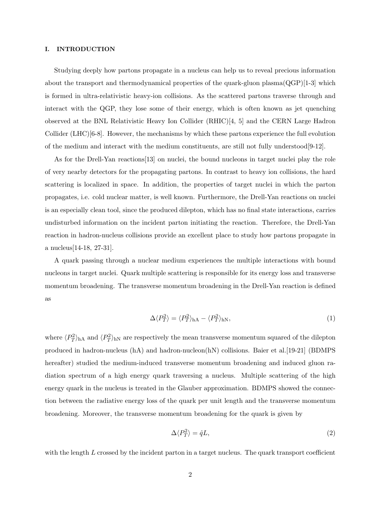## I. INTRODUCTION

Studying deeply how partons propagate in a nucleus can help us to reveal precious information about the transport and thermodynamical properties of the quark-gluon plasma $(QGP)[1-3]$  which is formed in ultra-relativistic heavy-ion collisions. As the scattered partons traverse through and interact with the QGP, they lose some of their energy, which is often known as jet quenching observed at the BNL Relativistic Heavy Ion Collider (RHIC)[4, 5] and the CERN Large Hadron Collider (LHC)[6-8]. However, the mechanisms by which these partons experience the full evolution of the medium and interact with the medium constituents, are still not fully understood[9-12].

As for the Drell-Yan reactions[13] on nuclei, the bound nucleons in target nuclei play the role of very nearby detectors for the propagating partons. In contrast to heavy ion collisions, the hard scattering is localized in space. In addition, the properties of target nuclei in which the parton propagates, i.e. cold nuclear matter, is well known. Furthermore, the Drell-Yan reactions on nuclei is an especially clean tool, since the produced dilepton, which has no final state interactions, carries undisturbed information on the incident parton initiating the reaction. Therefore, the Drell-Yan reaction in hadron-nucleus collisions provide an excellent place to study how partons propagate in a nucleus[14-18, 27-31].

A quark passing through a nuclear medium experiences the multiple interactions with bound nucleons in target nuclei. Quark multiple scattering is responsible for its energy loss and transverse momentum broadening. The transverse momentum broadening in the Drell-Yan reaction is defined as

$$
\Delta \langle P_T^2 \rangle = \langle P_T^2 \rangle_{\text{hA}} - \langle P_T^2 \rangle_{\text{hN}},\tag{1}
$$

where  $\langle P_T^2 \rangle_{hA}$  and  $\langle P_T^2 \rangle_{hN}$  are respectively the mean transverse momentum squared of the dilepton produced in hadron-nucleus (hA) and hadron-nucleon(hN) collisions. Baier et al.[19-21] (BDMPS hereafter) studied the medium-induced transverse momentum broadening and induced gluon radiation spectrum of a high energy quark traversing a nucleus. Multiple scattering of the high energy quark in the nucleus is treated in the Glauber approximation. BDMPS showed the connection between the radiative energy loss of the quark per unit length and the transverse momentum broadening. Moreover, the transverse momentum broadening for the quark is given by

$$
\Delta \langle P_T^2 \rangle = \hat{q}L,\tag{2}
$$

with the length L crossed by the incident parton in a target nucleus. The quark transport coefficient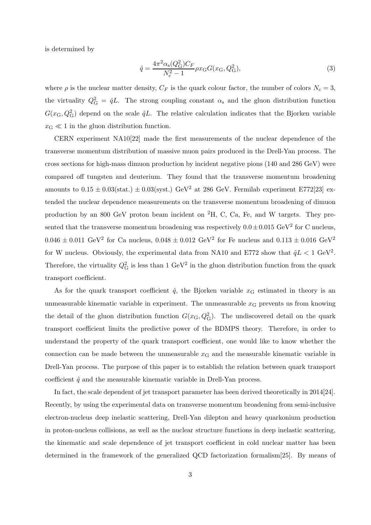is determined by

$$
\hat{q} = \frac{4\pi^2 \alpha_s (Q_G^2) C_F}{N_c^2 - 1} \rho x_G G(x_G, Q_G^2),\tag{3}
$$

where  $\rho$  is the nuclear matter density,  $C_F$  is the quark colour factor, the number of colors  $N_c = 3$ , the virtuality  $Q_{\rm G}^2 = \hat{q}L$ . The strong coupling constant  $\alpha_{\rm s}$  and the gluon distribution function  $G(x_{\text{G}}, Q_{\text{G}}^2)$  depend on the scale  $\hat{q}L$ . The relative calculation indicates that the Bjorken variable  $x_{\text{G}} \ll 1$  in the gluon distribution function.

CERN experiment NA10[22] made the first measurements of the nuclear dependence of the transverse momentum distribution of massive muon pairs produced in the Drell-Yan process. The cross sections for high-mass dimuon production by incident negative pions (140 and 286 GeV) were compared off tungsten and deuterium. They found that the transverse momentum broadening amounts to  $0.15 \pm 0.03$ (stat.)  $\pm 0.03$ (syst.) GeV<sup>2</sup> at 286 GeV. Fermilab experiment E772[23] extended the nuclear dependence measurements on the transverse momentum broadening of dimuon production by an 800 GeV proton beam incident on  ${}^{2}H$ , C, Ca, Fe, and W targets. They presented that the transverse momentum broadening was respectively  $0.0 \pm 0.015 \text{ GeV}^2$  for C nucleus,  $0.046 \pm 0.011 \text{ GeV}^2$  for Ca nucleus,  $0.048 \pm 0.012 \text{ GeV}^2$  for Fe nucleus and  $0.113 \pm 0.016 \text{ GeV}^2$ for W nucleus. Obviously, the experimental data from NA10 and E772 show that  $\hat{q}L < 1 \text{ GeV}^2$ . Therefore, the virtuality  $Q_{\rm G}^2$  is less than 1 GeV<sup>2</sup> in the gluon distribution function from the quark transport coefficient.

As for the quark transport coefficient  $\hat{q}$ , the Bjorken variable  $x<sub>G</sub>$  estimated in theory is an unmeasurable kinematic variable in experiment. The unmeasurable  $x<sub>G</sub>$  prevents us from knowing the detail of the gluon distribution function  $G(x_{\rm G}, Q_{\rm G}^2)$ . The undiscovered detail on the quark transport coefficient limits the predictive power of the BDMPS theory. Therefore, in order to understand the property of the quark transport coefficient, one would like to know whether the connection can be made between the unmeasurable  $x<sub>G</sub>$  and the measurable kinematic variable in Drell-Yan process. The purpose of this paper is to establish the relation between quark transport coefficient  $\hat{q}$  and the measurable kinematic variable in Drell-Yan process.

In fact, the scale dependent of jet transport parameter has been derived theoretically in 2014[24]. Recently, by using the experimental data on transverse momentum broadening from semi-inclusive electron-nucleus deep inelastic scattering, Drell-Yan dilepton and heavy quarkonium production in proton-nucleus collisions, as well as the nuclear structure functions in deep inelastic scattering, the kinematic and scale dependence of jet transport coefficient in cold nuclear matter has been determined in the framework of the generalized QCD factorization formalism[25]. By means of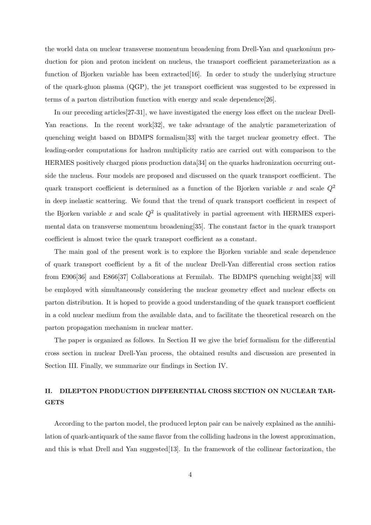the world data on nuclear transverse momentum broadening from Drell-Yan and quarkonium production for pion and proton incident on nucleus, the transport coefficient parameterization as a function of Bjorken variable has been extracted[16]. In order to study the underlying structure of the quark-gluon plasma (QGP), the jet transport coefficient was suggested to be expressed in terms of a parton distribution function with energy and scale dependence[26].

In our preceding articles[27-31], we have investigated the energy loss effect on the nuclear Drell-Yan reactions. In the recent work [32], we take advantage of the analytic parameterization of quenching weight based on BDMPS formalism[33] with the target nuclear geometry effect. The leading-order computations for hadron multiplicity ratio are carried out with comparison to the HERMES positively charged pions production data[34] on the quarks hadronization occurring outside the nucleus. Four models are proposed and discussed on the quark transport coefficient. The quark transport coefficient is determined as a function of the Bjorken variable x and scale  $Q^2$ in deep inelastic scattering. We found that the trend of quark transport coefficient in respect of the Bjorken variable x and scale  $Q^2$  is qualitatively in partial agreement with HERMES experimental data on transverse momentum broadening[35]. The constant factor in the quark transport coefficient is almost twice the quark transport coefficient as a constant.

The main goal of the present work is to explore the Bjorken variable and scale dependence of quark transport coefficient by a fit of the nuclear Drell-Yan differential cross section ratios from E906[36] and E866[37] Collaborations at Fermilab. The BDMPS quenching weight[33] will be employed with simultaneously considering the nuclear geometry effect and nuclear effects on parton distribution. It is hoped to provide a good understanding of the quark transport coefficient in a cold nuclear medium from the available data, and to facilitate the theoretical research on the parton propagation mechanism in nuclear matter.

The paper is organized as follows. In Section II we give the brief formalism for the differential cross section in nuclear Drell-Yan process, the obtained results and discussion are presented in Section III. Finally, we summarize our findings in Section IV.

# II. DILEPTON PRODUCTION DIFFERENTIAL CROSS SECTION ON NUCLEAR TAR-**GETS**

According to the parton model, the produced lepton pair can be naively explained as the annihilation of quark-antiquark of the same flavor from the colliding hadrons in the lowest approximation, and this is what Drell and Yan suggested[13]. In the framework of the collinear factorization, the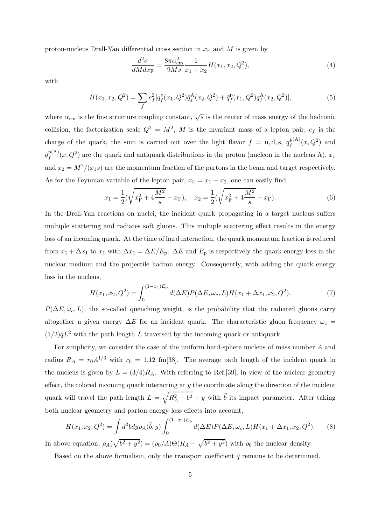proton-nucleus Drell-Yan differential cross section in  $x_F$  and M is given by

$$
\frac{d^2\sigma}{dMdx_{\rm F}} = \frac{8\pi\alpha_{\rm em}^2}{9Ms} \frac{1}{x_1 + x_2} H(x_1, x_2, Q^2),\tag{4}
$$

with

$$
H(x_1, x_2, Q^2) = \sum_f e_f^2 [q_f^{\rm p}(x_1, Q^2)\bar{q}_f^{\rm A}(x_2, Q^2) + \bar{q}_f^{\rm p}(x_1, Q^2)q_f^{\rm A}(x_2, Q^2)],\tag{5}
$$

where  $\alpha_{em}$  is the fine structure coupling constant,  $\sqrt{s}$  is the center of mass energy of the hadronic collision, the factorization scale  $Q^2 = M^2$ , M is the invariant mass of a lepton pair,  $e_f$  is the charge of the quark, the sum is carried out over the light flavor  $f = u, d, s, q_f^{p(A)}$  $f^{p(A)}(x, Q^2)$  and  ${\bar q}_f^{\rm p(A)}$  $f_f^{\text{p(A)}}(x,Q^2)$  are the quark and antiquark distributions in the proton (nucleon in the nucleus A),  $x_1$ and  $x_2 = M^2/(x_1 s)$  are the momentum fraction of the partons in the beam and target respectively. As for the Feynman variable of the lepton pair,  $x_F = x_1 - x_2$ , one can easily find

$$
x_1 = \frac{1}{2}(\sqrt{x_F^2 + 4\frac{M^2}{s}} + x_F), \quad x_2 = \frac{1}{2}(\sqrt{x_F^2 + 4\frac{M^2}{s}} - x_F). \tag{6}
$$

In the Drell-Yan reactions on nuclei, the incident quark propagating in a target nucleus suffers multiple scattering and radiates soft gluons. This multiple scattering effect results in the energy loss of an incoming quark. At the time of hard interaction, the quark momentum fraction is reduced from  $x_1 + \Delta x_1$  to  $x_1$  with  $\Delta x_1 = \Delta E/E_p$ .  $\Delta E$  and  $E_p$  is respectively the quark energy loss in the nuclear medium and the projectile hadron energy. Consequently, with adding the quark energy loss in the nucleus,

$$
H(x_1, x_2, Q^2) = \int_0^{(1-x_1)E_{\rm p}} d(\Delta E) P(\Delta E, \omega_c, L) H(x_1 + \Delta x_1, x_2, Q^2).
$$
 (7)

 $P(\Delta E, \omega_c, L)$ , the so-called quenching weight, is the probability that the radiated gluons carry altogether a given energy  $\Delta E$  for an incident quark. The characteristic gluon frequency  $\omega_c$  =  $(1/2)\hat{q}L^2$  with the path length L traversed by the incoming quark or antiquark.

For simplicity, we consider the case of the uniform hard-sphere nucleus of mass number A and radius  $R_A = r_0 A^{1/3}$  with  $r_0 = 1.12$  fm[38]. The average path length of the incident quark in the nucleus is given by  $L = (3/4)R_A$ . With referring to Ref.[39], in view of the nuclear geometry effect, the colored incoming quark interacting at  $y$  the coordinate along the direction of the incident quark will travel the path length  $L = \sqrt{R_A^2 - b^2} + y$  with  $\vec{b}$  its impact parameter. After taking both nuclear geometry and parton energy loss effects into account,

$$
H(x_1, x_2, Q^2) = \int d^2b \, dy \rho_A(\vec{b}, y) \int_0^{(1-x_1)E_p} d(\Delta E) P(\Delta E, \omega_c, L) H(x_1 + \Delta x_1, x_2, Q^2). \tag{8}
$$

In above equation,  $\rho_A(\sqrt{b^2 + y^2}) = (\rho_0/A)\Theta(R_A - \sqrt{b^2 + y^2})$  with  $\rho_0$  the nuclear density.

Based on the above formalism, only the transport coefficient  $\hat{q}$  remains to be determined.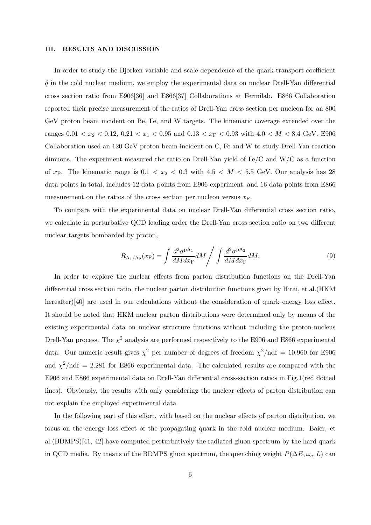### III. RESULTS AND DISCUSSION

In order to study the Bjorken variable and scale dependence of the quark transport coefficient  $\hat{q}$  in the cold nuclear medium, we employ the experimental data on nuclear Drell-Yan differential cross section ratio from E906[36] and E866[37] Collaborations at Fermilab. E866 Collaboration reported their precise measurement of the ratios of Drell-Yan cross section per nucleon for an 800 GeV proton beam incident on Be, Fe, and W targets. The kinematic coverage extended over the ranges  $0.01 < x_2 < 0.12$ ,  $0.21 < x_1 < 0.95$  and  $0.13 < x_F < 0.93$  with  $4.0 < M < 8.4$  GeV. E906 Collaboration used an 120 GeV proton beam incident on C, Fe and W to study Drell-Yan reaction dimuons. The experiment measured the ratio on Drell-Yan yield of Fe/C and W/C as a function of  $x_F$ . The kinematic range is  $0.1 < x_2 < 0.3$  with  $4.5 < M < 5.5$  GeV. Our analysis has 28 data points in total, includes 12 data points from E906 experiment, and 16 data points from E866 measurement on the ratios of the cross section per nucleon versus  $x_F$ .

To compare with the experimental data on nuclear Drell-Yan differential cross section ratio, we calculate in perturbative QCD leading order the Drell-Yan cross section ratio on two different nuclear targets bombarded by proton,

$$
R_{\rm A_1/A_2}(x_{\rm F}) = \int \frac{d^2 \sigma^{\rm pA_1}}{dM dx_{\rm F}} dM \Bigg/ \int \frac{d^2 \sigma^{\rm pA_2}}{dM dx_{\rm F}} dM. \tag{9}
$$

In order to explore the nuclear effects from parton distribution functions on the Drell-Yan differential cross section ratio, the nuclear parton distribution functions given by Hirai, et al.(HKM hereafter)[40] are used in our calculations without the consideration of quark energy loss effect. It should be noted that HKM nuclear parton distributions were determined only by means of the existing experimental data on nuclear structure functions without including the proton-nucleus Drell-Yan process. The  $\chi^2$  analysis are performed respectively to the E906 and E866 experimental data. Our numeric result gives  $\chi^2$  per number of degrees of freedom  $\chi^2/\text{ndf} = 10.960$  for E906 and  $\chi^2/\text{ndf} = 2.281$  for E866 experimental data. The calculated results are compared with the E906 and E866 experimental data on Drell-Yan differential cross-section ratios in Fig.1(red dotted lines). Obviously, the results with only considering the nuclear effects of parton distribution can not explain the employed experimental data.

In the following part of this effort, with based on the nuclear effects of parton distribution, we focus on the energy loss effect of the propagating quark in the cold nuclear medium. Baier, et al.(BDMPS)[41, 42] have computed perturbatively the radiated gluon spectrum by the hard quark in QCD media. By means of the BDMPS gluon spectrum, the quenching weight  $P(\Delta E, \omega_c, L)$  can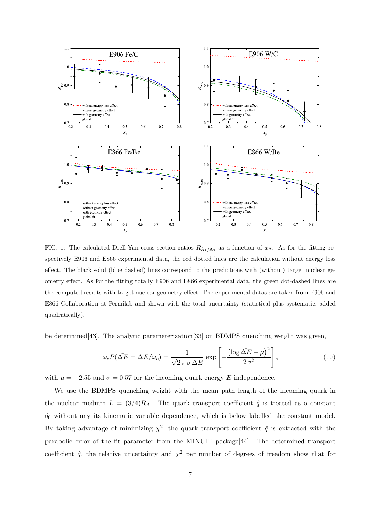

FIG. 1: The calculated Drell-Yan cross section ratios  $R_{A_1/A_2}$  as a function of  $x_F$ . As for the fitting respectively E906 and E866 experimental data, the red dotted lines are the calculation without energy loss effect. The black solid (blue dashed) lines correspond to the predictions with (without) target nuclear geometry effect. As for the fitting totally E906 and E866 experimental data, the green dot-dashed lines are the computed results with target nuclear geometry effect. The experimental datas are taken from E906 and E866 Collaboration at Fermilab and shown with the total uncertainty (statistical plus systematic, added quadratically).

be determined[43]. The analytic parameterization[33] on BDMPS quenching weight was given,

$$
\omega_c P(\Delta E = \Delta E / \omega_c) = \frac{1}{\sqrt{2\pi} \sigma \Delta E} \exp\left[ -\frac{\left(\log \Delta E - \mu\right)^2}{2\sigma^2} \right],\tag{10}
$$

with  $\mu = -2.55$  and  $\sigma = 0.57$  for the incoming quark energy E independence.

We use the BDMPS quenching weight with the mean path length of the incoming quark in the nuclear medium  $L = (3/4)R_A$ . The quark transport coefficient  $\hat{q}$  is treated as a constant  $\hat{q}_0$  without any its kinematic variable dependence, which is below labelled the constant model. By taking advantage of minimizing  $\chi^2$ , the quark transport coefficient  $\hat{q}$  is extracted with the parabolic error of the fit parameter from the MINUIT package[44]. The determined transport coefficient  $\hat{q}$ , the relative uncertainty and  $\chi^2$  per number of degrees of freedom show that for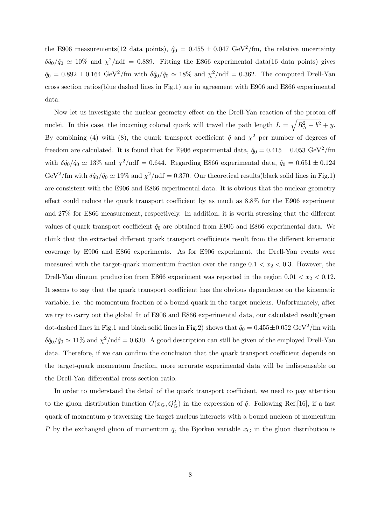the E906 measurements(12 data points),  $\hat{q}_0 = 0.455 \pm 0.047 \text{ GeV}^2/\text{fm}$ , the relative uncertainty  $\delta \hat{q}_0 / \hat{q}_0 \simeq 10\%$  and  $\chi^2/\text{ndf} = 0.889$ . Fitting the E866 experimental data(16 data points) gives  $\hat{q}_0 = 0.892 \pm 0.164 \text{ GeV}^2/\text{fm}$  with  $\delta \hat{q}_0 / \hat{q}_0 \simeq 18\%$  and  $\chi^2/\text{ndf} = 0.362$ . The computed Drell-Yan cross section ratios(blue dashed lines in Fig.1) are in agreement with E906 and E866 experimental data.

Now let us investigate the nuclear geometry effect on the Drell-Yan reaction of the proton off nuclei. In this case, the incoming colored quark will travel the path length  $L = \sqrt{R_A^2 - b^2} + y$ . By combining (4) with (8), the quark transport coefficient  $\hat{q}$  and  $\chi^2$  per number of degrees of freedom are calculated. It is found that for E906 experimental data,  $\hat{q}_0 = 0.415 \pm 0.053 \text{ GeV}^2/\text{fm}$ with  $\delta \hat{q}_0 / \hat{q}_0 \simeq 13\%$  and  $\chi^2/\text{ndf} = 0.644$ . Regarding E866 experimental data,  $\hat{q}_0 = 0.651 \pm 0.124$  $\text{GeV}^2/\text{fm}$  with  $\delta\hat{q}_0/\hat{q}_0 \simeq 19\%$  and  $\chi^2/\text{ndf} = 0.370$ . Our theoretical results(black solid lines in Fig.1) are consistent with the E906 and E866 experimental data. It is obvious that the nuclear geometry effect could reduce the quark transport coefficient by as much as 8.8% for the E906 experiment and 27% for E866 measurement, respectively. In addition, it is worth stressing that the different values of quark transport coefficient  $\hat{q}_0$  are obtained from E906 and E866 experimental data. We think that the extracted different quark transport coefficients result from the different kinematic coverage by E906 and E866 experiments. As for E906 experiment, the Drell-Yan events were measured with the target-quark momentum fraction over the range  $0.1 < x_2 < 0.3$ . However, the Drell-Yan dimuon production from E866 experiment was reported in the region  $0.01 < x_2 < 0.12$ . It seems to say that the quark transport coefficient has the obvious dependence on the kinematic variable, i.e. the momentum fraction of a bound quark in the target nucleus. Unfortunately, after we try to carry out the global fit of E906 and E866 experimental data, our calculated result(green dot-dashed lines in Fig.1 and black solid lines in Fig.2) shows that  $\hat{q}_0 = 0.455 \pm 0.052 \text{ GeV}^2/\text{fm}$  with  $\delta \hat{q}_0 / \hat{q}_0 \simeq 11\%$  and  $\chi^2/\text{ndf} = 0.630$ . A good description can still be given of the employed Drell-Yan data. Therefore, if we can confirm the conclusion that the quark transport coefficient depends on the target-quark momentum fraction, more accurate experimental data will be indispensable on the Drell-Yan differential cross section ratio.

In order to understand the detail of the quark transport coefficient, we need to pay attention to the gluon distribution function  $G(x_G, Q_G^2)$  in the expression of  $\hat{q}$ . Following Ref.[16], if a fast quark of momentum  $p$  traversing the target nucleus interacts with a bound nucleon of momentum P by the exchanged gluon of momentum q, the Bjorken variable  $x<sub>G</sub>$  in the gluon distribution is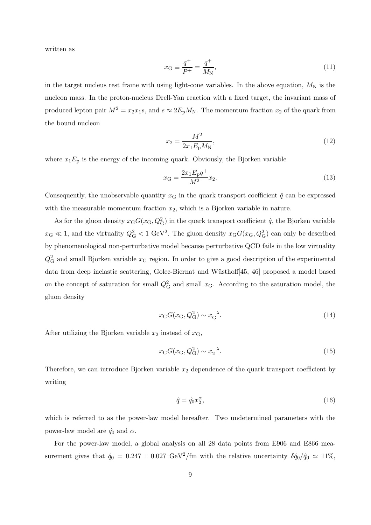written as

$$
x_{\rm G} \equiv \frac{q^+}{P^+} = \frac{q^+}{M_{\rm N}},\tag{11}
$$

in the target nucleus rest frame with using light-cone variables. In the above equation,  $M_N$  is the nucleon mass. In the proton-nucleus Drell-Yan reaction with a fixed target, the invariant mass of produced lepton pair  $M^2 = x_2x_1s$ , and  $s \approx 2E_pM_N$ . The momentum fraction  $x_2$  of the quark from the bound nucleon

$$
x_2 = \frac{M^2}{2x_1 E_{\rm p} M_{\rm N}},\tag{12}
$$

where  $x_1E_p$  is the energy of the incoming quark. Obviously, the Bjorken variable

$$
x_{\rm G} = \frac{2x_1 E_{\rm p} q^+}{M^2} x_2.
$$
\n(13)

Consequently, the unobservable quantity  $x<sub>G</sub>$  in the quark transport coefficient  $\hat{q}$  can be expressed with the measurable momentum fraction  $x_2$ , which is a Bjorken variable in nature.

As for the gluon density  $x_G G(x_G, Q_G^2)$  in the quark transport coefficient  $\hat{q}$ , the Bjorken variable  $x_{\rm G} \ll 1$ , and the virtuality  $Q_{\rm G}^2 < 1$  GeV<sup>2</sup>. The gluon density  $x_{\rm G}G(x_{\rm G}, Q_{\rm G}^2)$  can only be described by phenomenological non-perturbative model because perturbative QCD fails in the low virtuality  $Q<sub>G</sub><sup>2</sup>$  and small Bjorken variable  $x<sub>G</sub>$  region. In order to give a good description of the experimental data from deep inelastic scattering, Golec-Biernat and Wüsthoff<sup>[45, 46]</sup> proposed a model based on the concept of saturation for small  $Q<sub>G</sub><sup>2</sup>$  and small  $x<sub>G</sub>$ . According to the saturation model, the gluon density

$$
x_{\rm G} G(x_{\rm G}, Q_{\rm G}^2) \sim x_{\rm G}^{-\lambda}.\tag{14}
$$

After utilizing the Bjorken variable  $x_2$  instead of  $x_{\text{G}}$ ,

$$
x_{\rm G} G(x_{\rm G}, Q_{\rm G}^2) \sim x_2^{-\lambda}.\tag{15}
$$

Therefore, we can introduce Bjorken variable  $x_2$  dependence of the quark transport coefficient by writing

$$
\hat{q} = \hat{q}_0 x_2^{\alpha},\tag{16}
$$

which is referred to as the power-law model hereafter. Two undetermined parameters with the power-law model are  $\hat{q}_0$  and  $\alpha$ .

For the power-law model, a global analysis on all 28 data points from E906 and E866 measurement gives that  $\hat{q}_0 = 0.247 \pm 0.027 \text{ GeV}^2/\text{fm}$  with the relative uncertainty  $\delta \hat{q}_0 / \hat{q}_0 \simeq 11\%$ ,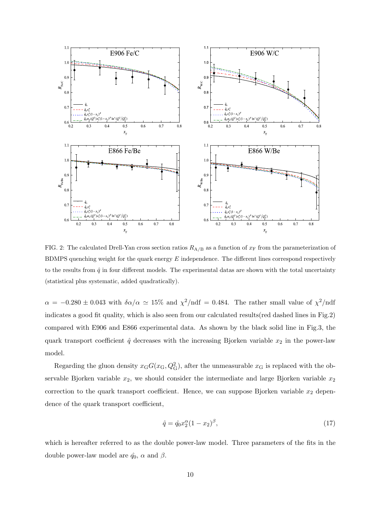

FIG. 2: The calculated Drell-Yan cross section ratios  $R_{A/B}$  as a function of  $x_F$  from the parameterization of BDMPS quenching weight for the quark energy  $E$  independence. The different lines correspond respectively to the results from  $\hat{q}$  in four different models. The experimental datas are shown with the total uncertainty (statistical plus systematic, added quadratically).

 $\alpha = -0.280 \pm 0.043$  with  $\delta\alpha/\alpha \simeq 15\%$  and  $\chi^2/\text{ndf} = 0.484$ . The rather small value of  $\chi^2/\text{ndf}$ indicates a good fit quality, which is also seen from our calculated results(red dashed lines in Fig.2) compared with E906 and E866 experimental data. As shown by the black solid line in Fig.3, the quark transport coefficient  $\hat{q}$  decreases with the increasing Bjorken variable  $x_2$  in the power-law model.

Regarding the gluon density  $x_G G(x_G, Q_G^2)$ , after the unmeasurable  $x_G$  is replaced with the observable Bjorken variable  $x_2$ , we should consider the intermediate and large Bjorken variable  $x_2$ correction to the quark transport coefficient. Hence, we can suppose Bjorken variable  $x_2$  dependence of the quark transport coefficient,

$$
\hat{q} = \hat{q}_0 x_2^{\alpha} (1 - x_2)^{\beta},\tag{17}
$$

which is hereafter referred to as the double power-law model. Three parameters of the fits in the double power-law model are  $\hat{q}_0$ ,  $\alpha$  and  $\beta$ .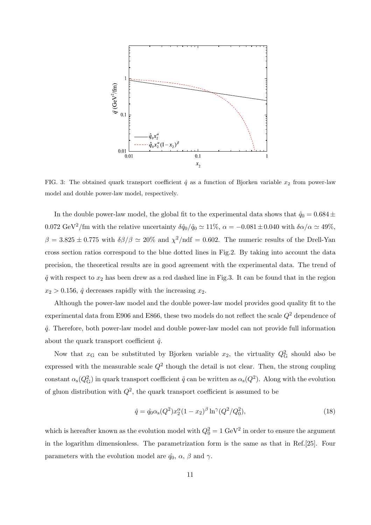

FIG. 3: The obtained quark transport coefficient  $\hat{q}$  as a function of Bjorken variable  $x_2$  from power-law model and double power-law model, respectively.

In the double power-law model, the global fit to the experimental data shows that  $\hat{q}_0 = 0.684 \pm$ 0.072 GeV<sup>2</sup>/fm with the relative uncertainty  $\delta \hat{q}_0 / \hat{q}_0 \simeq 11\%$ ,  $\alpha = -0.081 \pm 0.040$  with  $\delta \alpha / \alpha \simeq 49\%$ ,  $\beta = 3.825 \pm 0.775$  with  $\delta\beta/\beta \simeq 20\%$  and  $\chi^2/\text{ndf} = 0.602$ . The numeric results of the Drell-Yan cross section ratios correspond to the blue dotted lines in Fig.2. By taking into account the data precision, the theoretical results are in good agreement with the experimental data. The trend of  $\hat{q}$  with respect to  $x_2$  has been drew as a red dashed line in Fig.3. It can be found that in the region  $x_2 > 0.156$ ,  $\hat{q}$  decreases rapidly with the increasing  $x_2$ .

Although the power-law model and the double power-law model provides good quality fit to the experimental data from E906 and E866, these two models do not reflect the scale  $Q^2$  dependence of  $\hat{q}$ . Therefore, both power-law model and double power-law model can not provide full information about the quark transport coefficient  $\hat{q}$ .

Now that  $x<sub>G</sub>$  can be substituted by Bjorken variable  $x<sub>2</sub>$ , the virtuality  $Q<sub>G</sub><sup>2</sup>$  should also be expressed with the measurable scale  $Q^2$  though the detail is not clear. Then, the strong coupling constant  $\alpha_s(Q_G^2)$  in quark transport coefficient  $\hat{q}$  can be written as  $\alpha_s(Q^2)$ . Along with the evolution of gluon distribution with  $Q^2$ , the quark transport coefficient is assumed to be

$$
\hat{q} = \hat{q}_0 \alpha_s (Q^2) x_2^{\alpha} (1 - x_2)^{\beta} \ln^{\gamma} (Q^2 / Q_0^2), \tag{18}
$$

which is hereafter known as the evolution model with  $Q_0^2 = 1 \text{ GeV}^2$  in order to ensure the argument in the logarithm dimensionless. The parametrization form is the same as that in Ref.[25]. Four parameters with the evolution model are  $\hat{q}_0$ ,  $\alpha$ ,  $\beta$  and  $\gamma$ .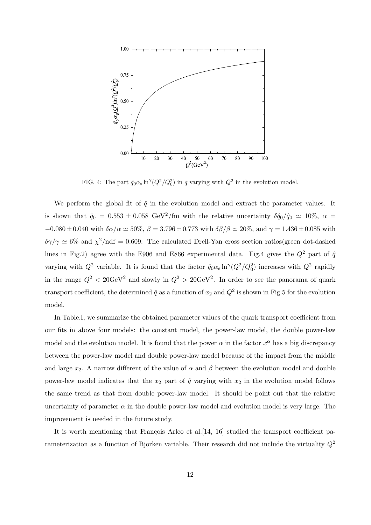

FIG. 4: The part  $\hat{q}_0 \alpha_s \ln^{\gamma}(Q^2/Q_0^2)$  in  $\hat{q}$  varying with  $Q^2$  in the evolution model.

We perform the global fit of  $\hat{q}$  in the evolution model and extract the parameter values. It is shown that  $\hat{q}_0 = 0.553 \pm 0.058 \text{ GeV}^2/\text{fm}$  with the relative uncertainty  $\delta \hat{q}_0 / \hat{q}_0 \simeq 10\%$ ,  $\alpha =$  $-0.080 \pm 0.040$  with  $\delta\alpha/\alpha \simeq 50\%$ ,  $\beta = 3.796 \pm 0.773$  with  $\delta\beta/\beta \simeq 20\%$ , and  $\gamma = 1.436 \pm 0.085$  with  $\delta\gamma/\gamma \simeq 6\%$  and  $\chi^2/\text{ndf} = 0.609$ . The calculated Drell-Yan cross section ratios(green dot-dashed lines in Fig.2) agree with the E906 and E866 experimental data. Fig.4 gives the  $Q^2$  part of  $\hat{q}$ varying with  $Q^2$  variable. It is found that the factor  $\hat{q}_0 \alpha_s \ln^{\gamma} (Q^2/Q_0^2)$  increases with  $Q^2$  rapidly in the range  $Q^2 < 20$ GeV<sup>2</sup> and slowly in  $Q^2 > 20$ GeV<sup>2</sup>. In order to see the panorama of quark transport coefficient, the determined  $\hat{q}$  as a function of  $x_2$  and  $Q^2$  is shown in Fig.5 for the evolution model.

In Table.I, we summarize the obtained parameter values of the quark transport coefficient from our fits in above four models: the constant model, the power-law model, the double power-law model and the evolution model. It is found that the power  $\alpha$  in the factor  $x^{\alpha}$  has a big discrepancy between the power-law model and double power-law model because of the impact from the middle and large  $x_2$ . A narrow different of the value of  $\alpha$  and  $\beta$  between the evolution model and double power-law model indicates that the  $x_2$  part of  $\hat{q}$  varying with  $x_2$  in the evolution model follows the same trend as that from double power-law model. It should be point out that the relative uncertainty of parameter  $\alpha$  in the double power-law model and evolution model is very large. The improvement is needed in the future study.

It is worth mentioning that François Arleo et al.  $[14, 16]$  studied the transport coefficient parameterization as a function of Bjorken variable. Their research did not include the virtuality  $Q^2$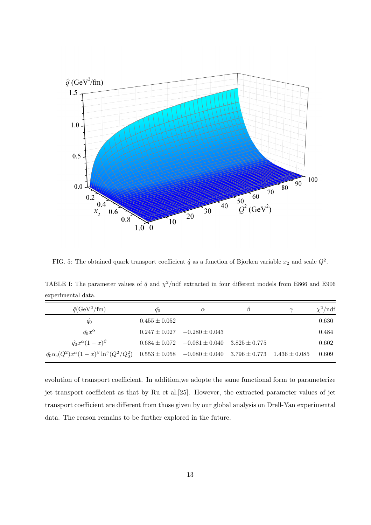

FIG. 5: The obtained quark transport coefficient  $\hat{q}$  as a function of Bjorken variable  $x_2$  and scale  $Q^2$ .

TABLE I: The parameter values of  $\hat{q}$  and  $\chi^2/\text{ndf}$  extracted in four different models from E866 and E906 experimental data.

| $\hat{q}$ (GeV <sup>2</sup> /fm)                                           | $q_0$             | $\alpha$                                                                 |  | $\chi^2/\text{ndf}$ |
|----------------------------------------------------------------------------|-------------------|--------------------------------------------------------------------------|--|---------------------|
| $\hat{q_0}$                                                                | $0.455 \pm 0.052$ |                                                                          |  | 0.630               |
| $\hat{q_0}x^{\alpha}$                                                      |                   | $0.247 \pm 0.027$ $-0.280 \pm 0.043$                                     |  | 0.484               |
| $\hat{q_0}x^{\alpha}(1-x)^{\beta}$                                         |                   | $0.684 \pm 0.072$ $-0.081 \pm 0.040$ $3.825 \pm 0.775$                   |  | 0.602               |
| $\hat{q}_0 \alpha_s(Q^2) x^{\alpha} (1-x)^{\beta} \ln^{\gamma}(Q^2/Q_0^2)$ |                   | $0.553 \pm 0.058$ $-0.080 \pm 0.040$ $3.796 \pm 0.773$ $1.436 \pm 0.085$ |  | 0.609               |

evolution of transport coefficient. In addition,we adopte the same functional form to parameterize jet transport coefficient as that by Ru et al.[25]. However, the extracted parameter values of jet transport coefficient are different from those given by our global analysis on Drell-Yan experimental data. The reason remains to be further explored in the future.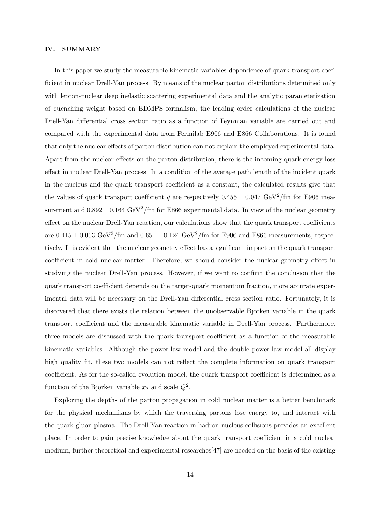## IV. SUMMARY

In this paper we study the measurable kinematic variables dependence of quark transport coefficient in nuclear Drell-Yan process. By means of the nuclear parton distributions determined only with lepton-nuclear deep inelastic scattering experimental data and the analytic parameterization of quenching weight based on BDMPS formalism, the leading order calculations of the nuclear Drell-Yan differential cross section ratio as a function of Feynman variable are carried out and compared with the experimental data from Fermilab E906 and E866 Collaborations. It is found that only the nuclear effects of parton distribution can not explain the employed experimental data. Apart from the nuclear effects on the parton distribution, there is the incoming quark energy loss effect in nuclear Drell-Yan process. In a condition of the average path length of the incident quark in the nucleus and the quark transport coefficient as a constant, the calculated results give that the values of quark transport coefficient  $\hat{q}$  are respectively  $0.455 \pm 0.047 \text{ GeV}^2/\text{fm}$  for E906 measurement and  $0.892 \pm 0.164$  GeV<sup>2</sup>/fm for E866 experimental data. In view of the nuclear geometry effect on the nuclear Drell-Yan reaction, our calculations show that the quark transport coefficients are  $0.415 \pm 0.053$  GeV<sup>2</sup>/fm and  $0.651 \pm 0.124$  GeV<sup>2</sup>/fm for E906 and E866 measurements, respectively. It is evident that the nuclear geometry effect has a significant impact on the quark transport coefficient in cold nuclear matter. Therefore, we should consider the nuclear geometry effect in studying the nuclear Drell-Yan process. However, if we want to confirm the conclusion that the quark transport coefficient depends on the target-quark momentum fraction, more accurate experimental data will be necessary on the Drell-Yan differential cross section ratio. Fortunately, it is discovered that there exists the relation between the unobservable Bjorken variable in the quark transport coefficient and the measurable kinematic variable in Drell-Yan process. Furthermore, three models are discussed with the quark transport coefficient as a function of the measurable kinematic variables. Although the power-law model and the double power-law model all display high quality fit, these two models can not reflect the complete information on quark transport coefficient. As for the so-called evolution model, the quark transport coefficient is determined as a function of the Bjorken variable  $x_2$  and scale  $Q^2$ .

Exploring the depths of the parton propagation in cold nuclear matter is a better benchmark for the physical mechanisms by which the traversing partons lose energy to, and interact with the quark-gluon plasma. The Drell-Yan reaction in hadron-nucleus collisions provides an excellent place. In order to gain precise knowledge about the quark transport coefficient in a cold nuclear medium, further theoretical and experimental researches[47] are needed on the basis of the existing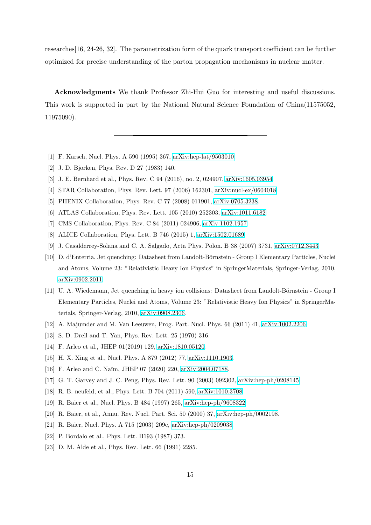researches[16, 24-26, 32]. The parametrization form of the quark transport coefficient can be further optimized for precise understanding of the parton propagation mechanisms in nuclear matter.

Acknowledgments We thank Professor Zhi-Hui Guo for interesting and useful discussions. This work is supported in part by the National Natural Science Foundation of China(11575052, 11975090).

- [1] F. Karsch, Nucl. Phys. A 590 (1995) 367, [arXiv:hep-lat/9503010.](http://arxiv.org/abs/hep-lat/9503010)
- [2] J. D. Bjorken, Phys. Rev. D 27 (1983) 140.
- [3] J. E. Bernhard et al., Phys. Rev. C 94 (2016), no. 2, 024907, [arXiv:1605.03954.](http://arxiv.org/abs/1605.03954)
- [4] STAR Collaboration, Phys. Rev. Lett. 97 (2006) 162301, [arXiv:nucl-ex/0604018.](http://arxiv.org/abs/nucl-ex/0604018)
- [5] PHENIX Collaboration, Phys. Rev. C 77 (2008) 011901, [arXiv:0705.3238.](http://arxiv.org/abs/0705.3238)
- [6] ATLAS Collaboration, Phys. Rev. Lett. 105 (2010) 252303, [arXiv:1011.6182.](http://arxiv.org/abs/1011.6182)
- [7] CMS Collaboration, Phys. Rev. C 84 (2011) 024906, [arXiv:1102.1957.](http://arxiv.org/abs/1102.1957)
- [8] ALICE Collaboration, Phys. Lett. B 746 (2015) 1, [arXiv:1502.01689.](http://arxiv.org/abs/1502.01689)
- [9] J. Casalderrey-Solana and C. A. Salgado, Acta Phys. Polon. B 38 (2007) 3731, [arXiv:0712.3443.](http://arxiv.org/abs/0712.3443)
- [10] D. d'Enterria, Jet quenching: Datasheet from Landolt-Börnstein Group I Elementary Particles, Nuclei and Atoms, Volume 23: "Relativistic Heavy Ion Physics" in SpringerMaterials, Springer-Verlag, 2010, [arXiv:0902.2011.](http://arxiv.org/abs/0902.2011)
- [11] U. A. Wiedemann, Jet quenching in heavy ion collisions: Datasheet from Landolt-Börnstein Group I Elementary Particles, Nuclei and Atoms, Volume 23: "Relativistic Heavy Ion Physics" in SpringerMaterials, Springer-Verlag, 2010, [arXiv:0908.2306.](http://arxiv.org/abs/0908.2306)
- [12] A. Majumder and M. Van Leeuwen, Prog. Part. Nucl. Phys. 66 (2011) 41, [arXiv:1002.2206.](http://arxiv.org/abs/1002.2206)
- [13] S. D. Drell and T. Yan, Phys. Rev. Lett. 25 (1970) 316.
- [14] F. Arleo et al., JHEP 01(2019) 129, [arXiv:1810.05120.](http://arxiv.org/abs/1810.05120)
- [15] H. X. Xing et al., Nucl. Phys. A 879 (2012) 77, [arXiv:1110.1903.](http://arxiv.org/abs/1110.1903)
- [16] F. Arleo and C. Naïm, JHEP 07 (2020) 220, [arXiv:2004.07188.](http://arxiv.org/abs/2004.07188)
- [17] G. T. Garvey and J. C. Peng, Phys. Rev. Lett. 90 (2003) 092302, [arXiv:hep-ph/0208145.](http://arxiv.org/abs/hep-ph/0208145)
- [18] R. B. neufeld, et al., Phys. Lett. B 704 (2011) 590, [arXiv:1010.3708.](http://arxiv.org/abs/1010.3708)
- [19] R. Baier et al., Nucl. Phys. B 484 (1997) 265, [arXiv:hep-ph/9608322.](http://arxiv.org/abs/hep-ph/9608322)
- [20] R. Baier, et al., Annu. Rev. Nucl. Part. Sci. 50 (2000) 37, [arXiv:hep-ph/0002198.](http://arxiv.org/abs/hep-ph/0002198)
- [21] R. Baier, Nucl. Phys. A 715 (2003) 209c, [arXiv:hep-ph/0209038.](http://arxiv.org/abs/hep-ph/0209038)
- [22] P. Bordalo et al., Phys. Lett. B193 (1987) 373.
- [23] D. M. Alde et al., Phys. Rev. Lett. 66 (1991) 2285.